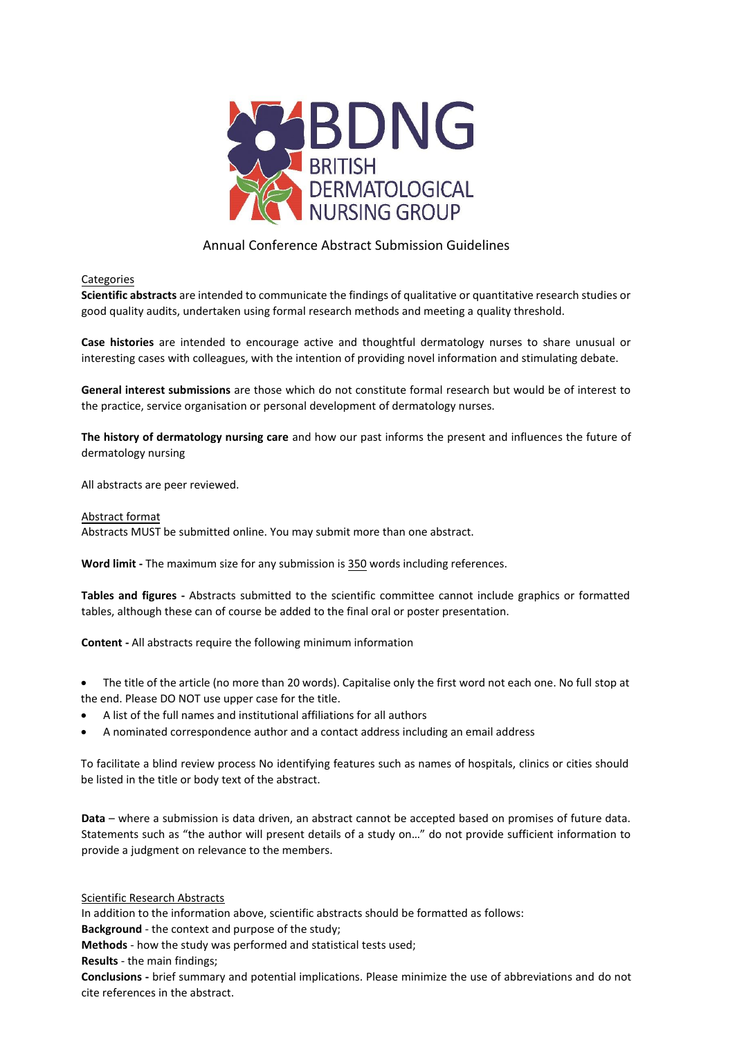

# Annual Conference Abstract Submission Guidelines

## Categories

**Scientific abstracts** are intended to communicate the findings of qualitative or quantitative research studies or good quality audits, undertaken using formal research methods and meeting a quality threshold.

**Case histories** are intended to encourage active and thoughtful dermatology nurses to share unusual or interesting cases with colleagues, with the intention of providing novel information and stimulating debate.

**General interest submissions** are those which do not constitute formal research but would be of interest to the practice, service organisation or personal development of dermatology nurses.

**The history of dermatology nursing care** and how our past informs the present and influences the future of dermatology nursing

All abstracts are peer reviewed.

#### Abstract format

Abstracts MUST be submitted online. You may submit more than one abstract.

**Word limit -** The maximum size for any submission is 350 words including references.

**Tables and figures -** Abstracts submitted to the scientific committee cannot include graphics or formatted tables, although these can of course be added to the final oral or poster presentation.

**Content -** All abstracts require the following minimum information

• The title of the article (no more than 20 words). Capitalise only the first word not each one. No full stop at the end. Please DO NOT use upper case for the title.

- A list of the full names and institutional affiliations for all authors
- A nominated correspondence author and a contact address including an email address

To facilitate a blind review process No identifying features such as names of hospitals, clinics or cities should be listed in the title or body text of the abstract.

**Data** – where a submission is data driven, an abstract cannot be accepted based on promises of future data. Statements such as "the author will present details of a study on…" do not provide sufficient information to provide a judgment on relevance to the members.

### Scientific Research Abstracts

In addition to the information above, scientific abstracts should be formatted as follows:

**Background** - the context and purpose of the study;

**Methods** - how the study was performed and statistical tests used;

**Results** - the main findings;

**Conclusions -** brief summary and potential implications. Please minimize the use of abbreviations and do not cite references in the abstract.